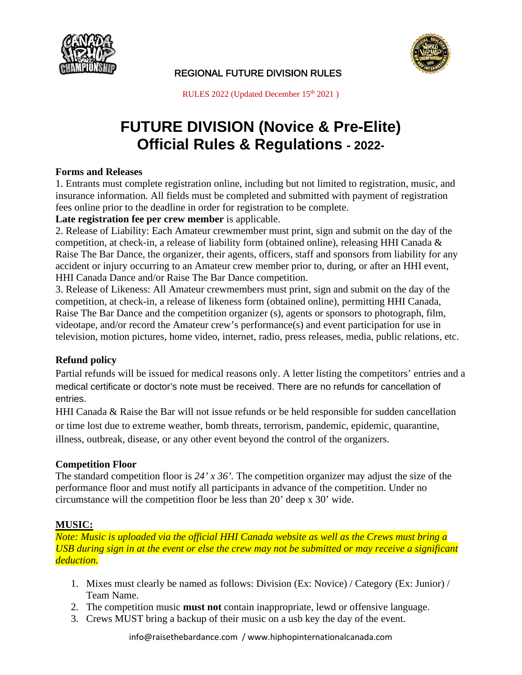



RULES 2022 (Updated December 15<sup>th</sup> 2021)

# **FUTURE DIVISION (Novice & Pre-Elite) Official Rules & Regulations - 2022-**

## **Forms and Releases**

1. Entrants must complete registration online, including but not limited to registration, music, and insurance information. All fields must be completed and submitted with payment of registration fees online prior to the deadline in order for registration to be complete.

## **Late registration fee per crew member** is applicable.

2. Release of Liability: Each Amateur crewmember must print, sign and submit on the day of the competition, at check-in, a release of liability form (obtained online), releasing HHI Canada & Raise The Bar Dance, the organizer, their agents, officers, staff and sponsors from liability for any accident or injury occurring to an Amateur crew member prior to, during, or after an HHI event, HHI Canada Dance and/or Raise The Bar Dance competition.

3. Release of Likeness: All Amateur crewmembers must print, sign and submit on the day of the competition, at check-in, a release of likeness form (obtained online), permitting HHI Canada, Raise The Bar Dance and the competition organizer (s), agents or sponsors to photograph, film, videotape, and/or record the Amateur crew's performance(s) and event participation for use in television, motion pictures, home video, internet, radio, press releases, media, public relations, etc.

# **Refund policy**

Partial refunds will be issued for medical reasons only. A letter listing the competitors' entries and a medical certificate or doctor's note must be received. There are no refunds for cancellation of entries.

HHI Canada & Raise the Bar will not issue refunds or be held responsible for sudden cancellation or time lost due to extreme weather, bomb threats, terrorism, pandemic, epidemic, quarantine, illness, outbreak, disease, or any other event beyond the control of the organizers.

#### **Competition Floor**

The standard competition floor is *24' x 36'.* The competition organizer may adjust the size of the performance floor and must notify all participants in advance of the competition. Under no circumstance will the competition floor be less than 20' deep x 30' wide.

# **MUSIC:**

*Note: Music is uploaded via the official HHI Canada website as well as the Crews must bring a USB during sign in at the event or else the crew may not be submitted or may receive a significant deduction.*

- 1. Mixes must clearly be named as follows: Division (Ex: Novice) / Category (Ex: Junior) / Team Name.
- 2. The competition music **must not** contain inappropriate, lewd or offensive language.
- 3. Crews MUST bring a backup of their music on a usb key the day of the event.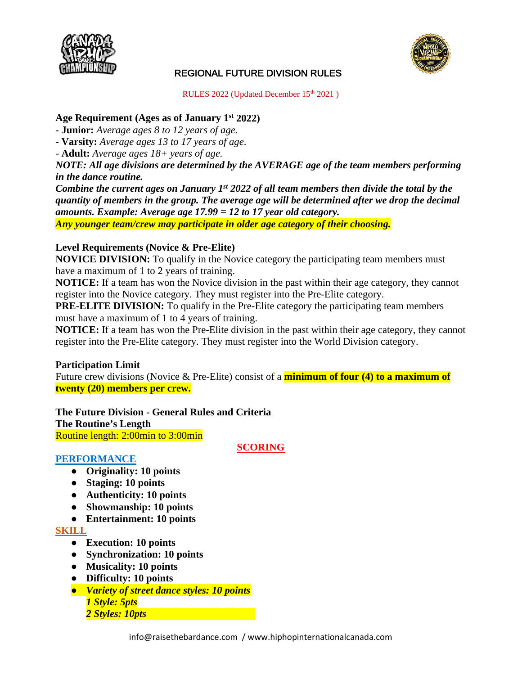



RULES 2022 (Updated December 15<sup>th</sup> 2021)

## **Age Requirement (Ages as of January 1st 2022)**

*-* **Junior:** *Average ages 8 to 12 years of age.*

*-* **Varsity:** *Average ages 13 to 17 years of age*.

*-* **Adult:** *Average ages 18+ years of age.*

*NOTE: All age divisions are determined by the AVERAGE age of the team members performing in the dance routine.* 

*Combine the current ages on January 1st 2022 of all team members then divide the total by the quantity of members in the group. The average age will be determined after we drop the decimal amounts. Example: Average age 17.99 = 12 to 17 year old category.*

*Any younger team/crew may participate in older age category of their choosing.*

## **Level Requirements (Novice & Pre-Elite)**

**NOVICE DIVISION:** To qualify in the Novice category the participating team members must have a maximum of 1 to 2 years of training.

**NOTICE:** If a team has won the Novice division in the past within their age category, they cannot register into the Novice category. They must register into the Pre-Elite category.

**PRE-ELITE DIVISION:** To qualify in the Pre-Elite category the participating team members must have a maximum of 1 to 4 years of training.

**NOTICE:** If a team has won the Pre-Elite division in the past within their age category, they cannot register into the Pre-Elite category. They must register into the World Division category.

#### **Participation Limit**

Future crew divisions (Novice & Pre-Elite) consist of a **minimum of four (4) to a maximum of twenty (20) members per crew.**

**The Future Division - General Rules and Criteria The Routine's Length** Routine length: 2:00min to 3:00min

#### **SCORING**

#### **PERFORMANCE**

- **Originality: 10 points**
- **Staging: 10 points**
- **Authenticity: 10 points**
- **Showmanship: 10 points**
- **Entertainment: 10 points**

# **SKILL**

- **Execution: 10 points**
- **Synchronization: 10 points**
- **Musicality: 10 points**
- **Difficulty: 10 points**
- *Variety of street dance styles: 10 points 1 Style: 5pts 2 Styles: 10pts*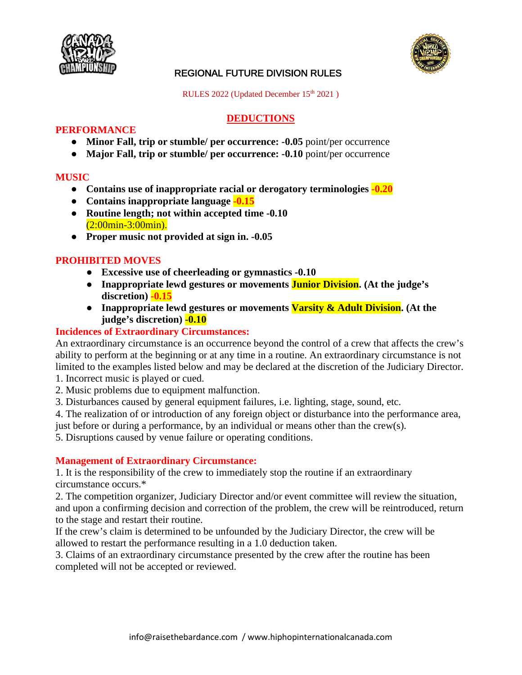



RULES 2022 (Updated December 15<sup>th</sup> 2021)

# **DEDUCTIONS**

## **PERFORMANCE**

- **Minor Fall, trip or stumble/ per occurrence: -0.05** point/per occurrence
- **Major Fall, trip or stumble/ per occurrence: -0.10** point/per occurrence

#### **MUSIC**

- **Contains use of inappropriate racial or derogatory terminologies -0.20**
- **Contains inappropriate language -0.15**
- **Routine length; not within accepted time -0.10** (2:00min-3:00min).
- **Proper music not provided at sign in. -0.05**

# **PROHIBITED MOVES**

- **Excessive use of cheerleading or gymnastics -0.10**
- **Inappropriate lewd gestures or movements Junior Division. (At the judge's discretion) -0.15**
- **Inappropriate lewd gestures or movements Varsity & Adult Division. (At the judge's discretion) -0.10**

## **Incidences of Extraordinary Circumstances:**

An extraordinary circumstance is an occurrence beyond the control of a crew that affects the crew's ability to perform at the beginning or at any time in a routine. An extraordinary circumstance is not limited to the examples listed below and may be declared at the discretion of the Judiciary Director. 1. Incorrect music is played or cued.

- 2. Music problems due to equipment malfunction.
- 3. Disturbances caused by general equipment failures, i.e. lighting, stage, sound, etc.
- 4. The realization of or introduction of any foreign object or disturbance into the performance area,

just before or during a performance, by an individual or means other than the crew(s).

5. Disruptions caused by venue failure or operating conditions.

#### **Management of Extraordinary Circumstance:**

1. It is the responsibility of the crew to immediately stop the routine if an extraordinary circumstance occurs.\*

2. The competition organizer, Judiciary Director and/or event committee will review the situation, and upon a confirming decision and correction of the problem, the crew will be reintroduced, return to the stage and restart their routine.

If the crew's claim is determined to be unfounded by the Judiciary Director, the crew will be allowed to restart the performance resulting in a 1.0 deduction taken.

3. Claims of an extraordinary circumstance presented by the crew after the routine has been completed will not be accepted or reviewed.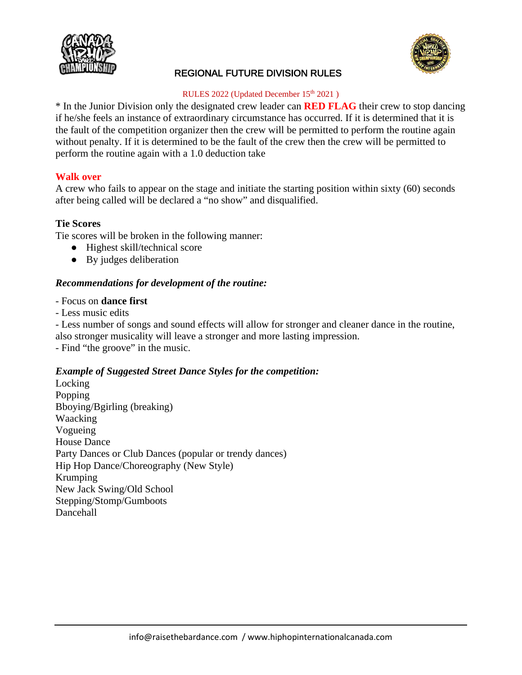



#### RULES 2022 (Updated December 15<sup>th</sup> 2021)

\* In the Junior Division only the designated crew leader can **RED FLAG** their crew to stop dancing if he/she feels an instance of extraordinary circumstance has occurred. If it is determined that it is the fault of the competition organizer then the crew will be permitted to perform the routine again without penalty. If it is determined to be the fault of the crew then the crew will be permitted to perform the routine again with a 1.0 deduction take

# **Walk over**

A crew who fails to appear on the stage and initiate the starting position within sixty (60) seconds after being called will be declared a "no show" and disqualified.

# **Tie Scores**

Tie scores will be broken in the following manner:

- Highest skill/technical score
- By judges deliberation

## *Recommendations for development of the routine:*

- Focus on **dance first**
- Less music edits

- Less number of songs and sound effects will allow for stronger and cleaner dance in the routine,

also stronger musicality will leave a stronger and more lasting impression.

- Find "the groove" in the music.

#### *Example of Suggested Street Dance Styles for the competition:*

Locking Popping Bboying/Bgirling (breaking) Waacking Vogueing House Dance Party Dances or Club Dances (popular or trendy dances) Hip Hop Dance/Choreography (New Style) Krumping New Jack Swing/Old School Stepping/Stomp/Gumboots Dancehall